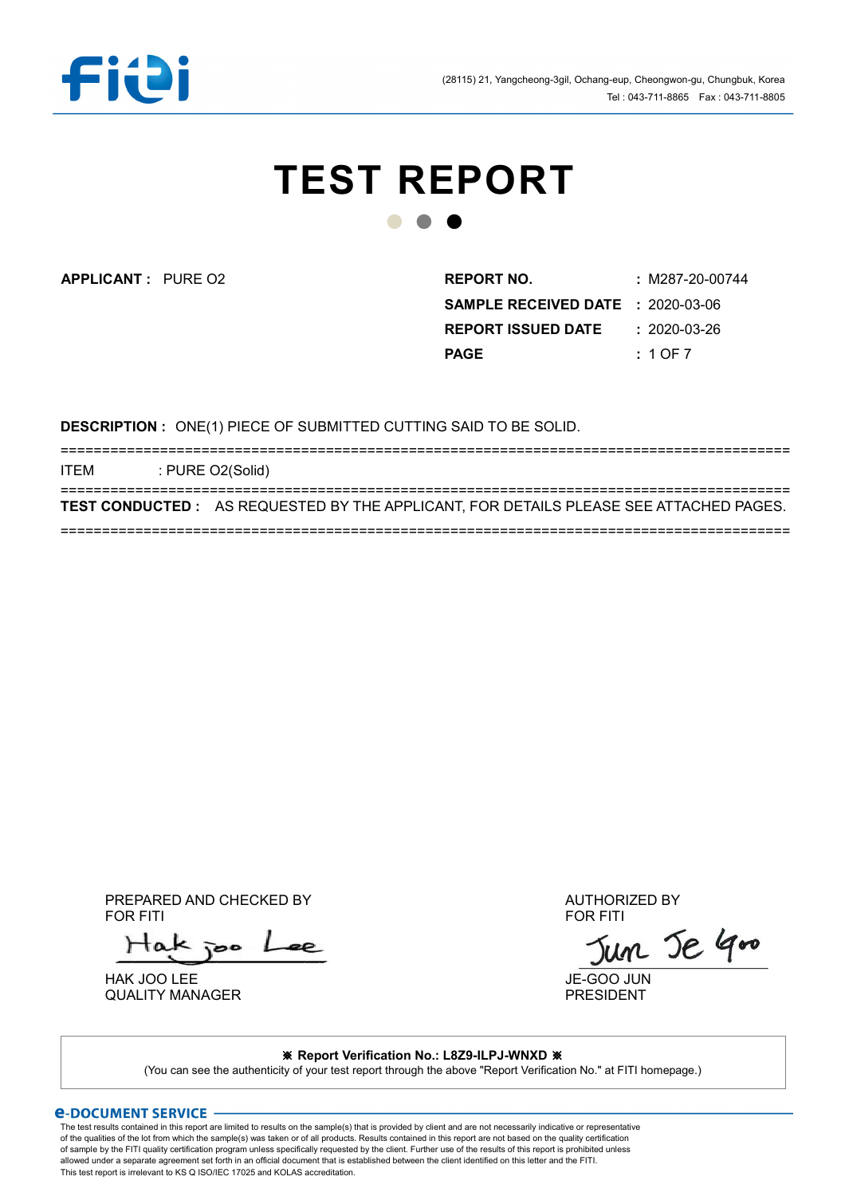

# TEST REPORT ● ● ●

APPLICANT : REPORT NO. : M287-20-00744 PURE O2 SAMPLE RECEIVED DATE : 2020-03-06 **REPORT ISSUED DATE : 2020-03-26** PAGE : 1 OF 7

DESCRIPTION : ONE(1) PIECE OF SUBMITTED CUTTING SAID TO BE SOLID.

======================================================================================== ITEM : PURE O2(Solid) ======================================================================================== TEST CONDUCTED : AS REQUESTED BY THE APPLICANT, FOR DETAILS PLEASE SEE ATTACHED PAGES. ========================================================================================

PREPARED AND CHECKED BY AUTHORIZED BY<br>FOR FITI FOR FITI FOR FITING A SERVICE OF THE SERVICE OF THE SERVICE OF THE SERVICE OF THE SERVICE OF THE SERVICE OF TH

 $H$ ak joo

HAK JOO LEE<br>QUALITY MANAGER<br>QUALITY MANAGER QUALITY MANAGER

#### ※ Report Verification No.: L8Z9-ILPJ-WNXD ※

(You can see the authenticity of your test report through the above "Report Verification No." at FITI homepage.)

#### *<u>E-DOCUMENT SERVICE</u>*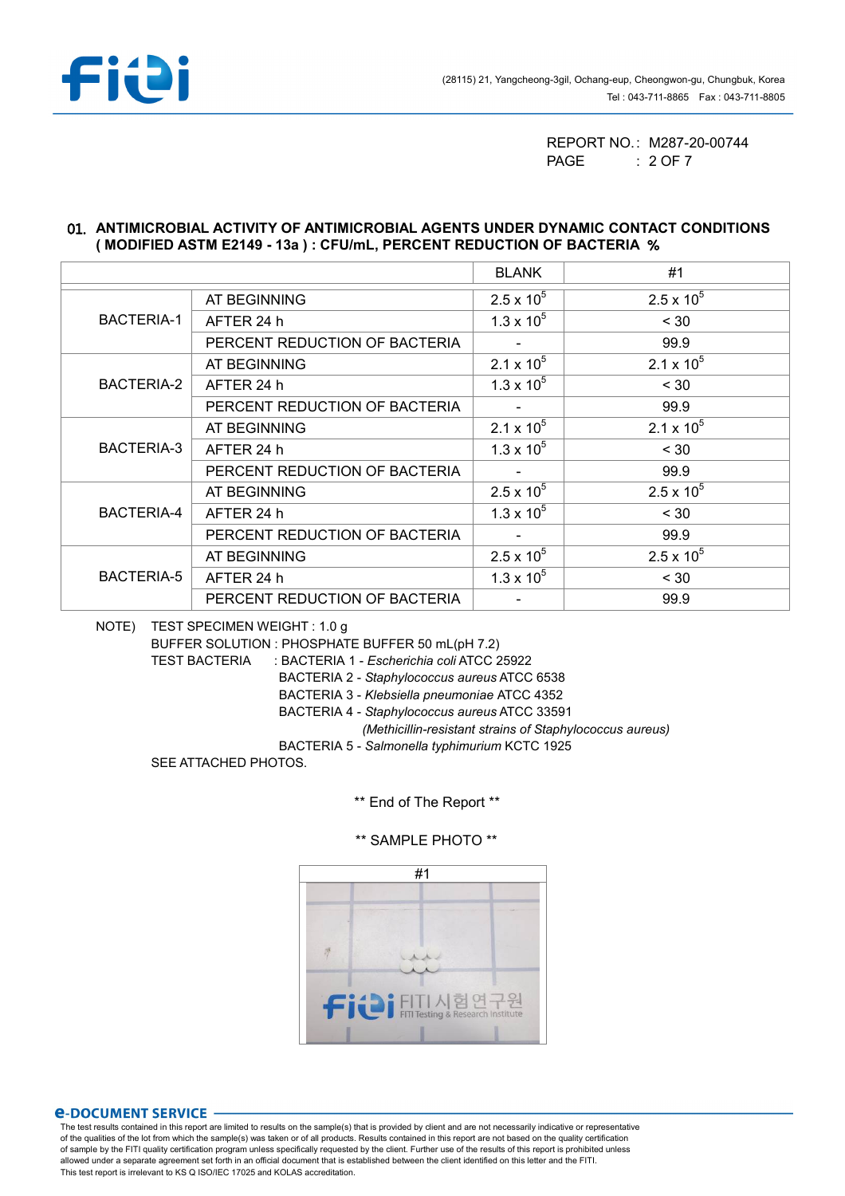

REPORT NO.: M287-20-00744 PAGE : 2 OF 7

#### 01. ANTIMICROBIAL ACTIVITY OF ANTIMICROBIAL AGENTS UNDER DYNAMIC CONTACT CONDITIONS ( MODIFIED ASTM E2149 - 13a ) : CFU/mL, PERCENT REDUCTION OF BACTERIA %

|                   |                               | <b>BLANK</b>        | #1                  |
|-------------------|-------------------------------|---------------------|---------------------|
| <b>BACTERIA-1</b> | AT BEGINNING                  | $2.5 \times 10^{5}$ | $2.5 \times 10^{5}$ |
|                   | AFTER 24 h                    | $1.3 \times 10^{5}$ | < 30                |
|                   | PERCENT REDUCTION OF BACTERIA |                     | 99.9                |
| BACTERIA-2        | AT BEGINNING                  | 2.1 x $10^5$        | $2.1 \times 10^5$   |
|                   | AFTER 24 h                    | $1.3 \times 10^{5}$ | < 30                |
|                   | PERCENT REDUCTION OF BACTERIA |                     | 99.9                |
| BACTERIA-3        | AT BEGINNING                  | 2.1 x $10^5$        | $2.1 \times 10^5$   |
|                   | AFTER 24 h                    | $1.3 \times 10^{5}$ | < 30                |
|                   | PERCENT REDUCTION OF BACTERIA |                     | 99.9                |
| BACTERIA-4        | AT BEGINNING                  | $2.5 \times 10^{5}$ | $2.5 \times 10^{5}$ |
|                   | AFTER 24 h                    | $1.3 \times 10^{5}$ | < 30                |
|                   | PERCENT REDUCTION OF BACTERIA |                     | 99.9                |
| BACTERIA-5        | AT BEGINNING                  | $2.5 \times 10^{5}$ | $2.5 \times 10^{5}$ |
|                   | AFTER 24 h                    | $1.3 \times 10^{5}$ | < 30                |
|                   | PERCENT REDUCTION OF BACTERIA |                     | 99.9                |

NOTE) TEST SPECIMEN WEIGHT : 1.0 g

BUFFER SOLUTION : PHOSPHATE BUFFER 50 mL(pH 7.2)

TEST BACTERIA : BACTERIA 1 - Escherichia coli ATCC 25922

BACTERIA 2 - Staphylococcus aureus ATCC 6538

BACTERIA 3 - Klebsiella pneumoniae ATCC 4352

BACTERIA 4 - Staphylococcus aureus ATCC 33591

(Methicillin-resistant strains of Staphylococcus aureus)

BACTERIA 5 - Salmonella typhimurium KCTC 1925

SEE ATTACHED PHOTOS.

\*\* End of The Report \*\*



\*\* SAMPLE PHOTO \*\*

#### **e-DOCUMENT SERVICE**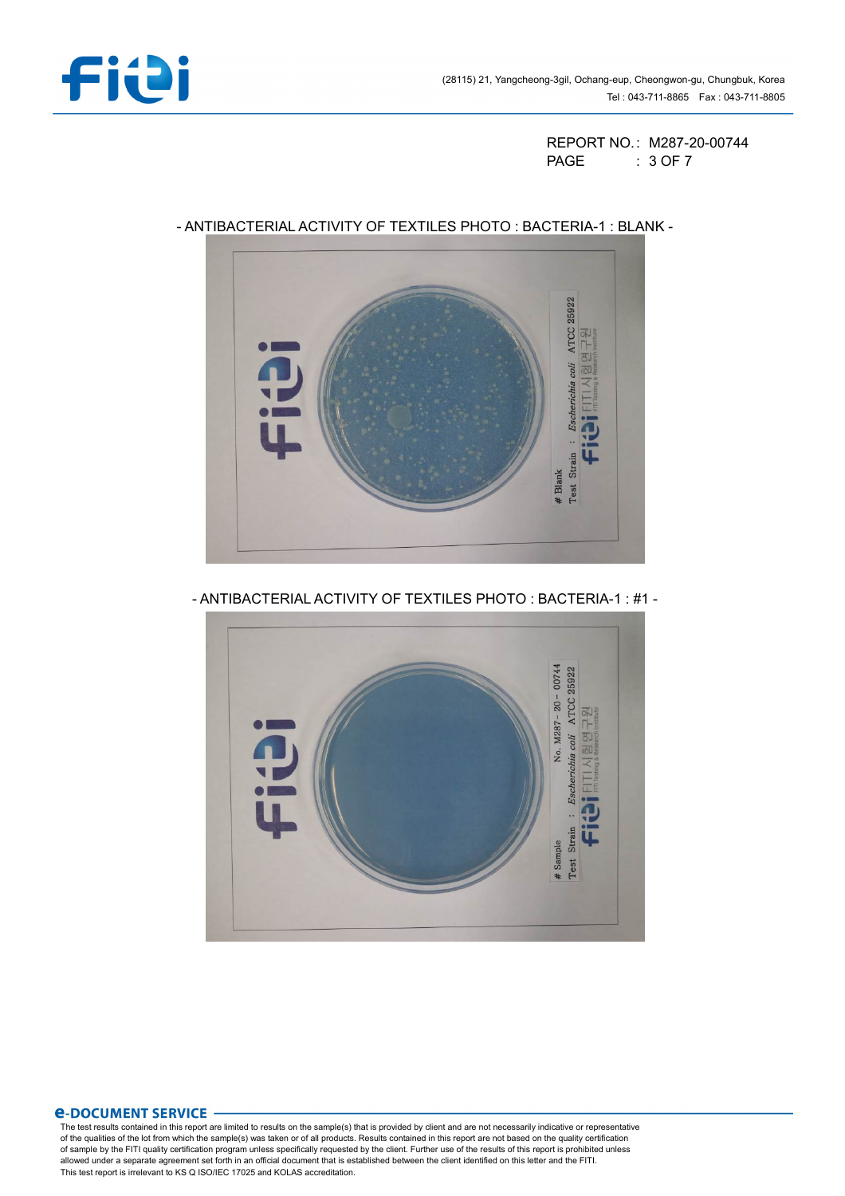

REPORT NO.: M287-20-00744 PAGE : 3 OF 7



# - ANTIBACTERIAL ACTIVITY OF TEXTILES PHOTO : BACTERIA-1 : BLANK -

- ANTIBACTERIAL ACTIVITY OF TEXTILES PHOTO : BACTERIA-1 : #1 -



## *<u>E-DOCUMENT SERVICE</u>*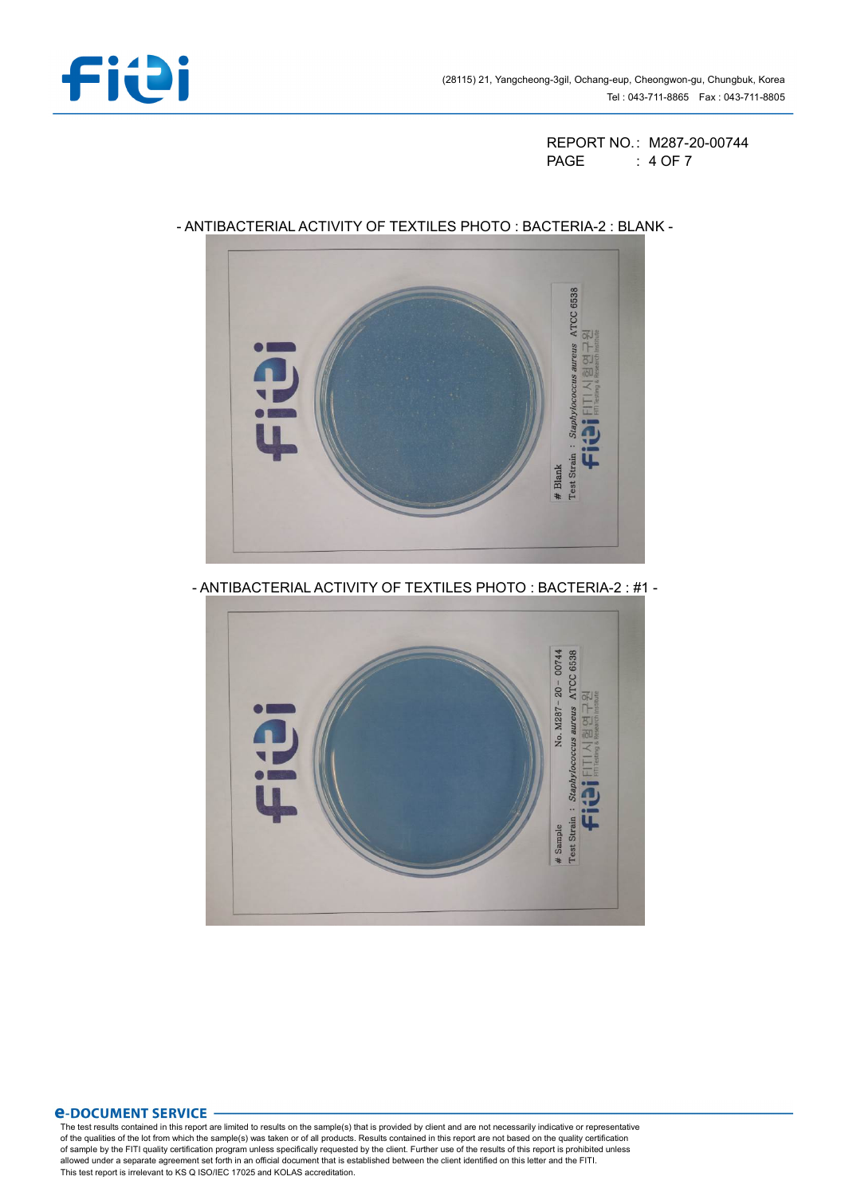

REPORT NO.: M287-20-00744 PAGE : 4 OF 7



# - ANTIBACTERIAL ACTIVITY OF TEXTILES PHOTO : BACTERIA-2 : BLANK -

- ANTIBACTERIAL ACTIVITY OF TEXTILES PHOTO : BACTERIA-2 : #1 -



## **e-DOCUMENT SERVICE**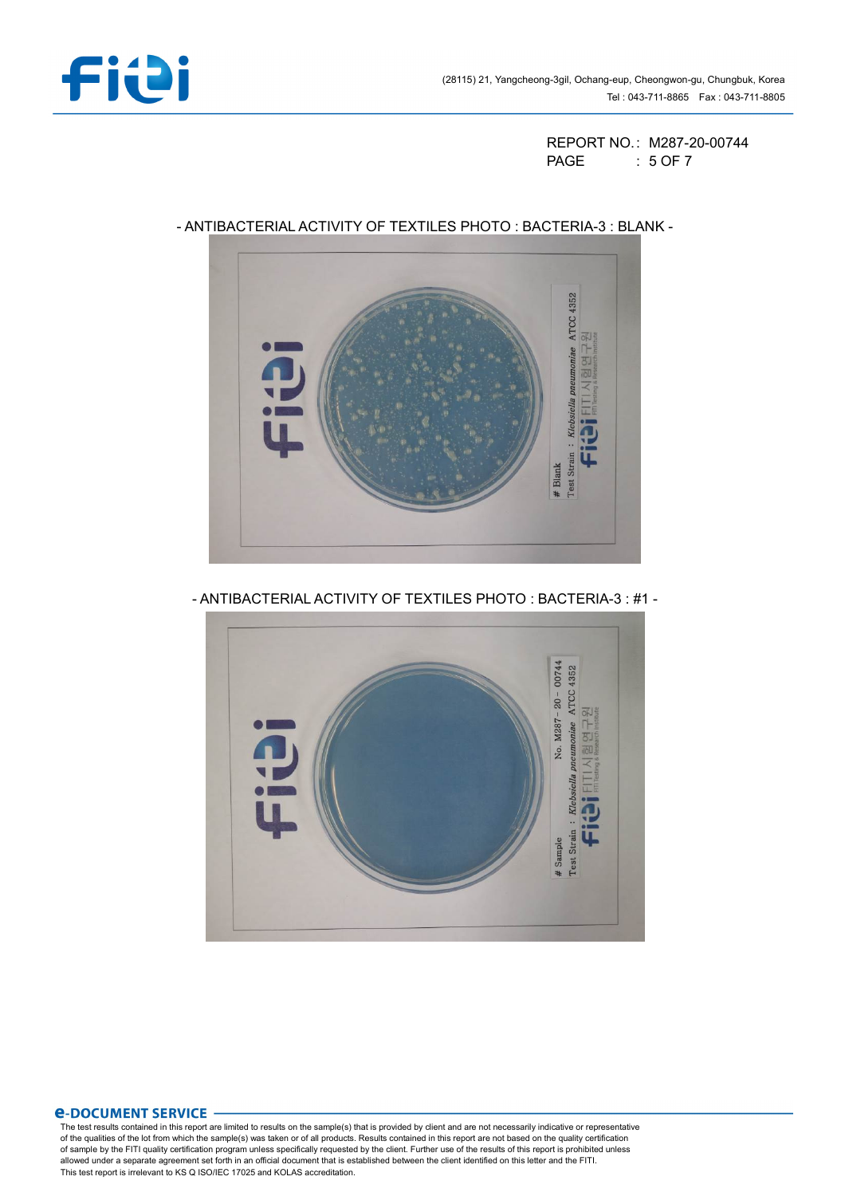

REPORT NO.: M287-20-00744 PAGE : 5 OF 7



## - ANTIBACTERIAL ACTIVITY OF TEXTILES PHOTO : BACTERIA-3 : BLANK -

- ANTIBACTERIAL ACTIVITY OF TEXTILES PHOTO : BACTERIA-3 : #1 -



## *<u>E-DOCUMENT SERVICE</u>*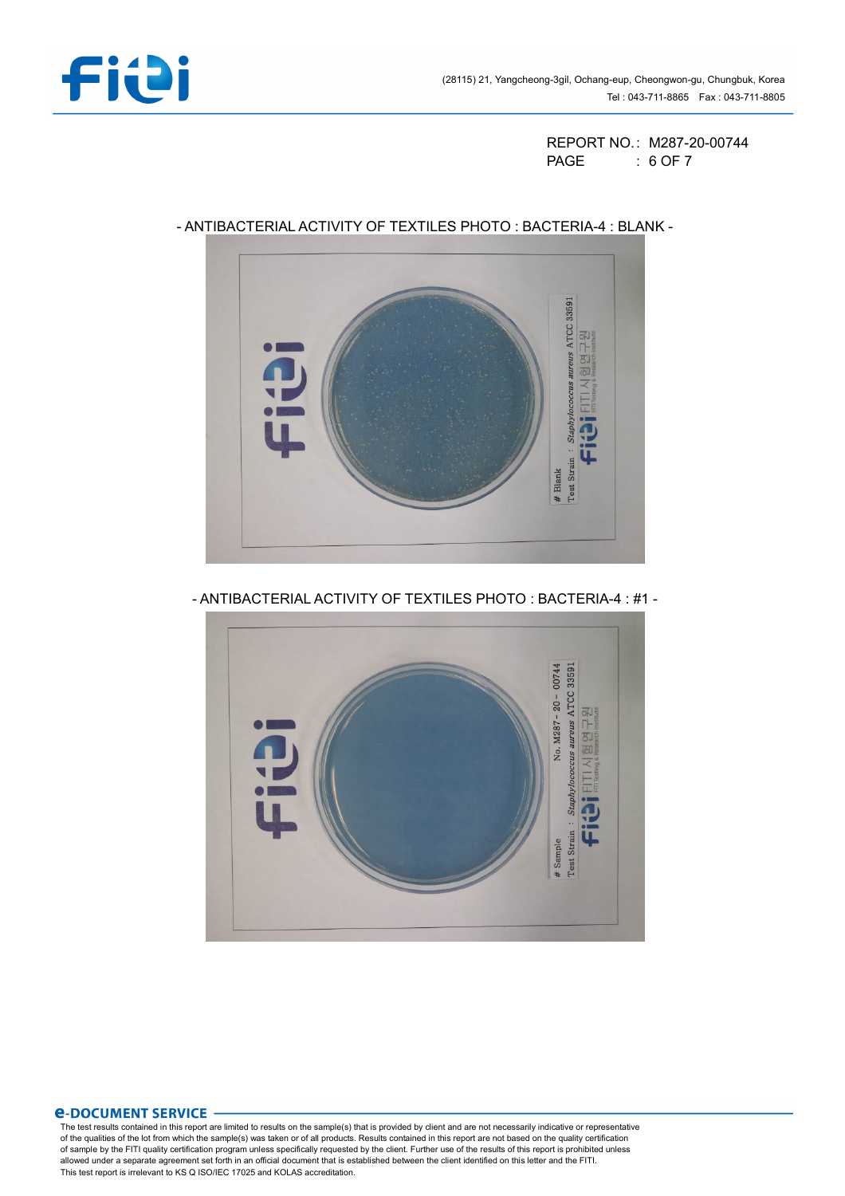

REPORT NO.: M287-20-00744 PAGE : 6 OF 7



# - ANTIBACTERIAL ACTIVITY OF TEXTILES PHOTO : BACTERIA-4 : BLANK -

- ANTIBACTERIAL ACTIVITY OF TEXTILES PHOTO : BACTERIA-4 : #1 -



## *<u>E-DOCUMENT SERVICE</u>*